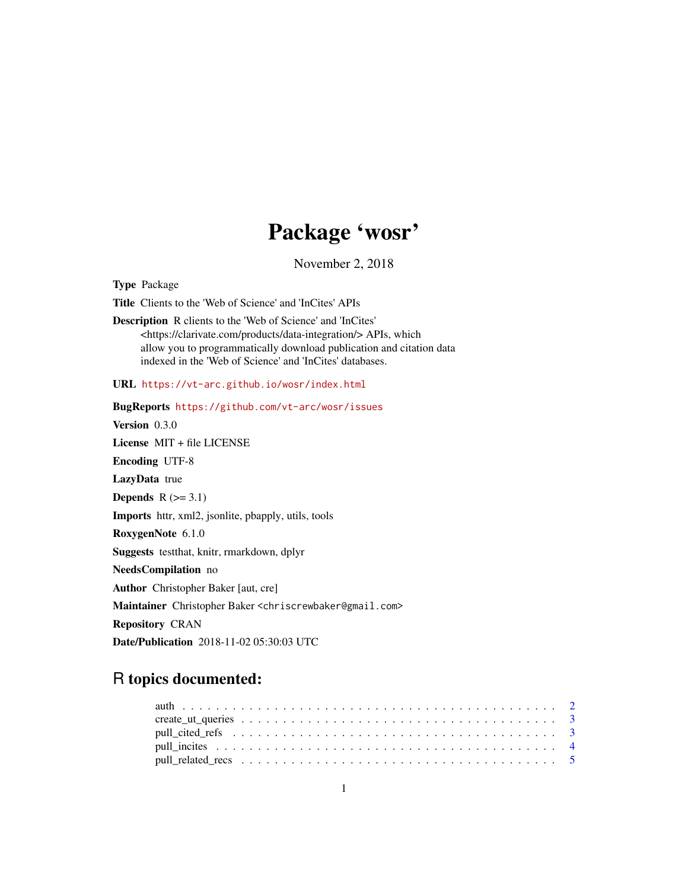# Package 'wosr'

November 2, 2018

<span id="page-0-0"></span>Type Package

Title Clients to the 'Web of Science' and 'InCites' APIs

Description R clients to the 'Web of Science' and 'InCites' <https://clarivate.com/products/data-integration/> APIs, which allow you to programmatically download publication and citation data indexed in the 'Web of Science' and 'InCites' databases.

URL <https://vt-arc.github.io/wosr/index.html>

BugReports <https://github.com/vt-arc/wosr/issues> Version 0.3.0 License MIT + file LICENSE Encoding UTF-8 LazyData true Depends  $R$  ( $>= 3.1$ ) Imports httr, xml2, jsonlite, pbapply, utils, tools RoxygenNote 6.1.0 Suggests testthat, knitr, rmarkdown, dplyr NeedsCompilation no Author Christopher Baker [aut, cre] Maintainer Christopher Baker <chriscrewbaker@gmail.com> Repository CRAN Date/Publication 2018-11-02 05:30:03 UTC

# R topics documented: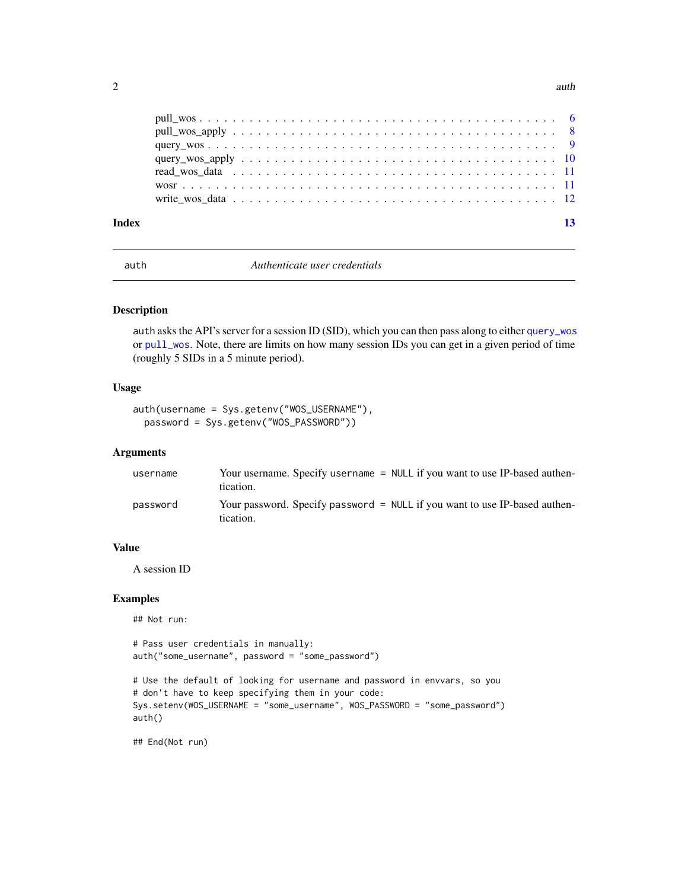<span id="page-1-0"></span>

<span id="page-1-1"></span>auth *Authenticate user credentials*

#### Description

auth asks the API's server for a session ID (SID), which you can then pass along to either [query\\_wos](#page-8-1) or [pull\\_wos](#page-5-1). Note, there are limits on how many session IDs you can get in a given period of time (roughly 5 SIDs in a 5 minute period).

# Usage

```
auth(username = Sys.getenv("WOS_USERNAME"),
 password = Sys.getenv("WOS_PASSWORD"))
```
#### Arguments

| username | Your username. Specify username = NULL if you want to use IP-based authen-<br>tication. |
|----------|-----------------------------------------------------------------------------------------|
| password | Your password. Specify password = NULL if you want to use IP-based authen-<br>tication. |

#### Value

A session ID

# Examples

## Not run:

```
# Pass user credentials in manually:
auth("some_username", password = "some_password")
```

```
# Use the default of looking for username and password in envvars, so you
# don't have to keep specifying them in your code:
Sys.setenv(WOS_USERNAME = "some_username", WOS_PASSWORD = "some_password")
auth()
```
## End(Not run)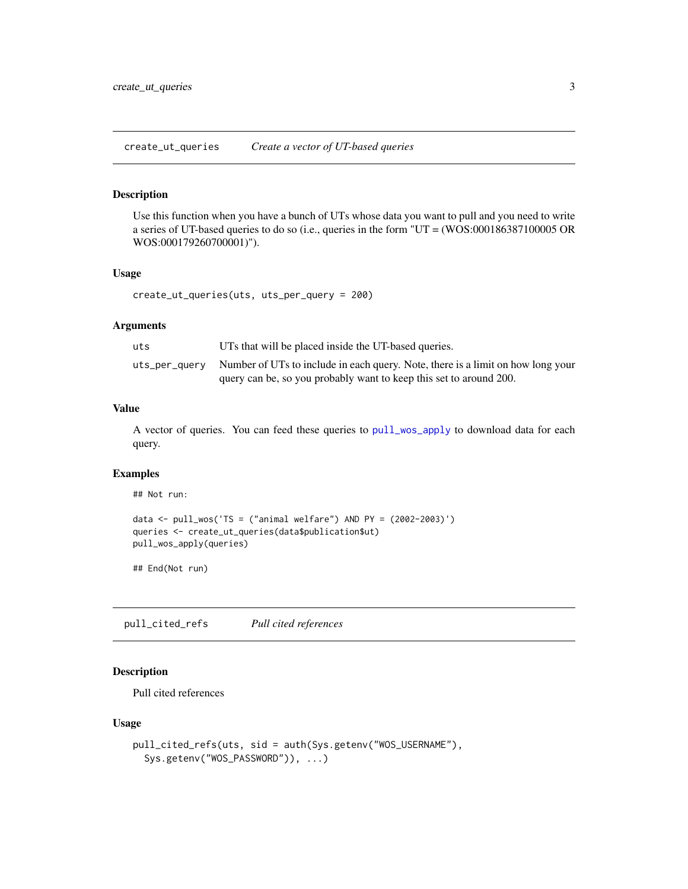<span id="page-2-0"></span>create\_ut\_queries *Create a vector of UT-based queries*

#### Description

Use this function when you have a bunch of UTs whose data you want to pull and you need to write a series of UT-based queries to do so (i.e., queries in the form "UT = (WOS:000186387100005 OR WOS:000179260700001)").

# Usage

create\_ut\_queries(uts, uts\_per\_query = 200)

#### Arguments

| uts | UTs that will be placed inside the UT-based queries.                                          |
|-----|-----------------------------------------------------------------------------------------------|
|     | uts_per_query Number of UTs to include in each query. Note, there is a limit on how long your |
|     | query can be, so you probably want to keep this set to around 200.                            |

# Value

A vector of queries. You can feed these queries to [pull\\_wos\\_apply](#page-7-1) to download data for each query.

### Examples

## Not run:

```
data <- pull_wos('TS = ("animal welfare") AND PY = (2002-2003)')
queries <- create_ut_queries(data$publication$ut)
pull_wos_apply(queries)
```
## End(Not run)

pull\_cited\_refs *Pull cited references*

# Description

Pull cited references

```
pull_cited_refs(uts, sid = auth(Sys.getenv("WOS_USERNAME"),
  Sys.getenv("WOS_PASSWORD")), ...)
```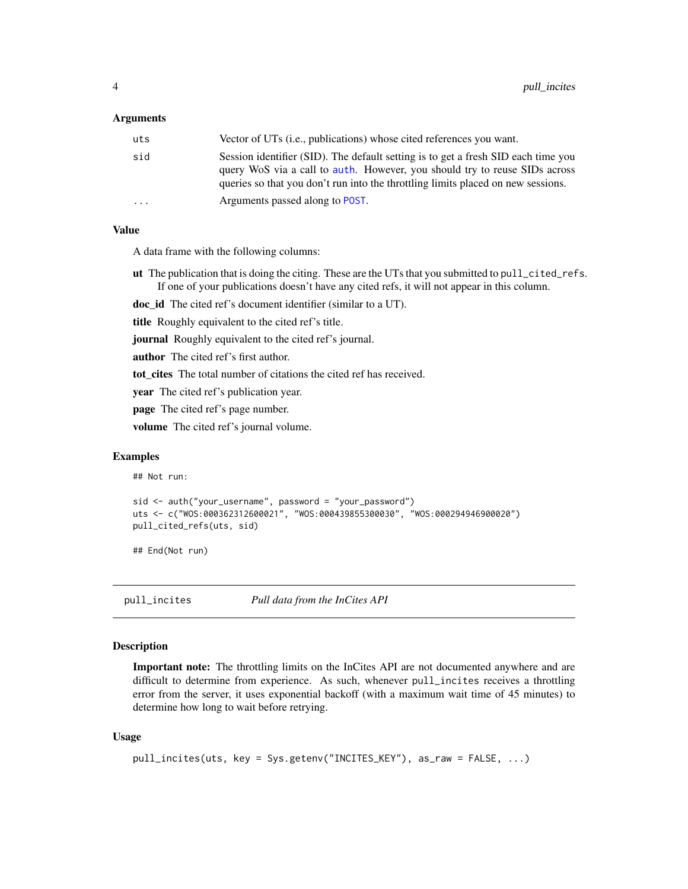#### <span id="page-3-0"></span>Arguments

| uts | Vector of UTs ( <i>i.e.</i> , publications) whose cited references you want.                                                                                                                                                                        |
|-----|-----------------------------------------------------------------------------------------------------------------------------------------------------------------------------------------------------------------------------------------------------|
| sid | Session identifier (SID). The default setting is to get a fresh SID each time you<br>query WoS via a call to auth. However, you should try to reuse SIDs across<br>queries so that you don't run into the throttling limits placed on new sessions. |
| .   | Arguments passed along to POST.                                                                                                                                                                                                                     |

#### Value

A data frame with the following columns:

ut The publication that is doing the citing. These are the UTs that you submitted to pull\_cited\_refs. If one of your publications doesn't have any cited refs, it will not appear in this column.

doc\_id The cited ref's document identifier (similar to a UT).

title Roughly equivalent to the cited ref's title.

**journal** Roughly equivalent to the cited ref's journal.

**author** The cited ref's first author.

tot\_cites The total number of citations the cited ref has received.

year The cited ref's publication year.

page The cited ref's page number.

volume The cited ref's journal volume.

#### Examples

```
## Not run:
```

```
sid <- auth("your_username", password = "your_password")
uts <- c("WOS:000362312600021", "WOS:000439855300030", "WOS:000294946900020")
pull_cited_refs(uts, sid)
```
## End(Not run)

pull\_incites *Pull data from the InCites API*

#### Description

Important note: The throttling limits on the InCites API are not documented anywhere and are difficult to determine from experience. As such, whenever pull\_incites receives a throttling error from the server, it uses exponential backoff (with a maximum wait time of 45 minutes) to determine how long to wait before retrying.

```
pull_incites(uts, key = Sys.getenv("INCITES_KEY"), as_raw = FALSE, ...)
```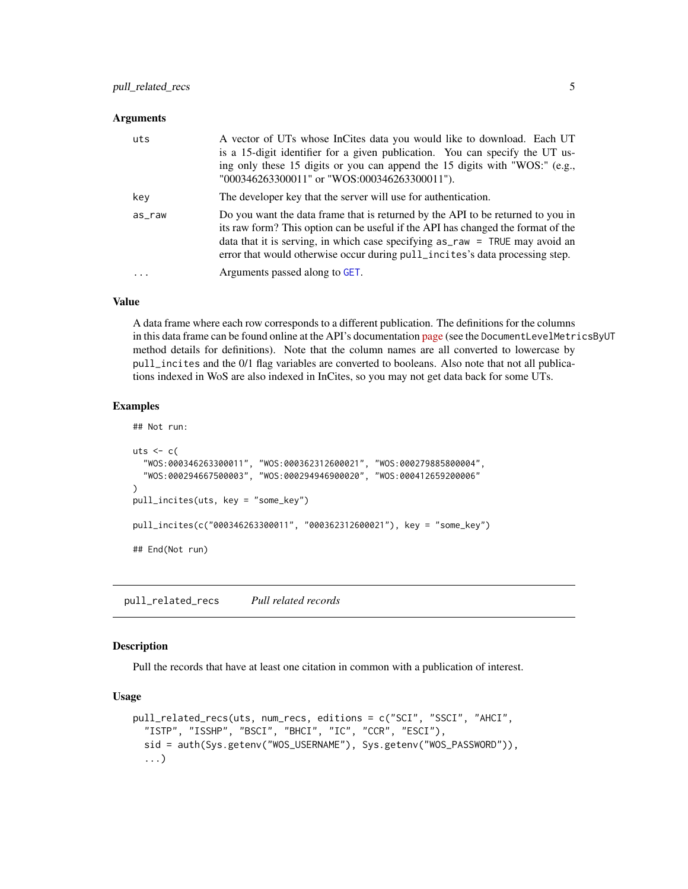# <span id="page-4-0"></span>pull\_related\_recs 5

#### **Arguments**

| uts    | A vector of UTs whose InCites data you would like to download. Each UT<br>is a 15-digit identifier for a given publication. You can specify the UT us-<br>ing only these 15 digits or you can append the 15 digits with "WOS:" (e.g.,<br>"000346263300011" or "WOS:000346263300011").                                                   |
|--------|-----------------------------------------------------------------------------------------------------------------------------------------------------------------------------------------------------------------------------------------------------------------------------------------------------------------------------------------|
| key    | The developer key that the server will use for authentication.                                                                                                                                                                                                                                                                          |
| as_raw | Do you want the data frame that is returned by the API to be returned to you in<br>its raw form? This option can be useful if the API has changed the format of the<br>data that it is serving, in which case specifying $as_{raw}$ = TRUE may avoid an<br>error that would otherwise occur during pull_incites's data processing step. |
| .      | Arguments passed along to GET.                                                                                                                                                                                                                                                                                                          |

#### Value

A data frame where each row corresponds to a different publication. The definitions for the columns in this data frame can be found online at the API's documentation [page](http://about.incites.thomsonreuters.com/api/#/) (see the DocumentLevelMetricsByUT method details for definitions). Note that the column names are all converted to lowercase by pull\_incites and the 0/1 flag variables are converted to booleans. Also note that not all publications indexed in WoS are also indexed in InCites, so you may not get data back for some UTs.

# Examples

```
## Not run:
uts <-c("WOS:000346263300011", "WOS:000362312600021", "WOS:000279885800004",
  "WOS:000294667500003", "WOS:000294946900020", "WOS:000412659200006"
\mathcal{L}pull_incites(uts, key = "some_key")
pull_incites(c("000346263300011", "000362312600021"), key = "some_key")
## End(Not run)
```
pull\_related\_recs *Pull related records*

#### Description

Pull the records that have at least one citation in common with a publication of interest.

```
pull_related_recs(uts, num_recs, editions = c("SCI", "SSCI", "AHCI",
  "ISTP", "ISSHP", "BSCI", "BHCI", "IC", "CCR", "ESCI"),
  sid = auth(Sys.getenv("WOS_USERNAME"), Sys.getenv("WOS_PASSWORD")),
  ...)
```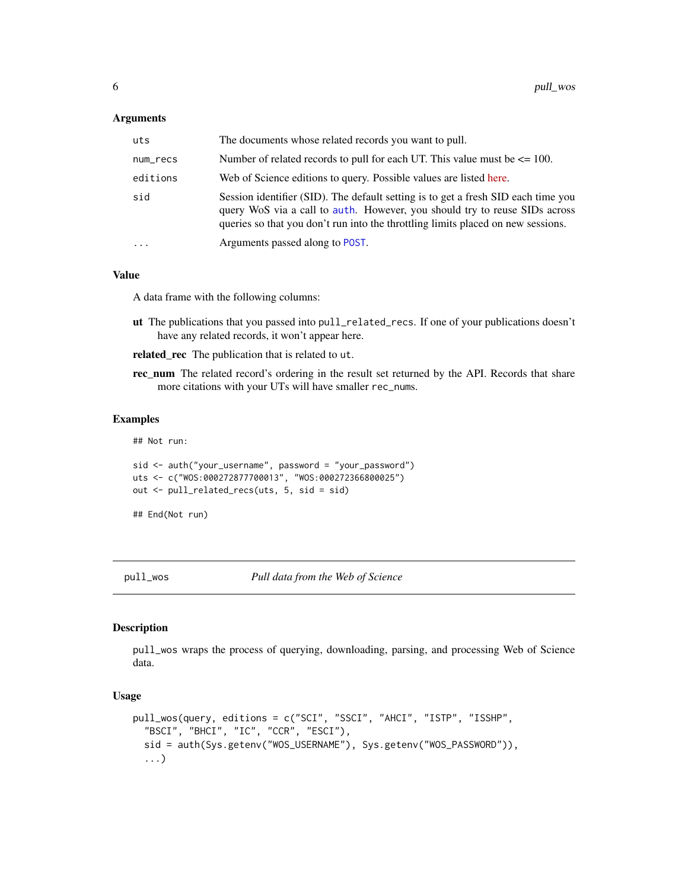#### <span id="page-5-0"></span>**Arguments**

| uts       | The documents whose related records you want to pull.                                                                                                                                                                                               |
|-----------|-----------------------------------------------------------------------------------------------------------------------------------------------------------------------------------------------------------------------------------------------------|
| num_recs  | Number of related records to pull for each UT. This value must be $\leq$ 100.                                                                                                                                                                       |
| editions  | Web of Science editions to query. Possible values are listed here.                                                                                                                                                                                  |
| sid       | Session identifier (SID). The default setting is to get a fresh SID each time you<br>query WoS via a call to auth. However, you should try to reuse SIDs across<br>queries so that you don't run into the throttling limits placed on new sessions. |
| $\ddotsc$ | Arguments passed along to POST.                                                                                                                                                                                                                     |

#### Value

A data frame with the following columns:

- ut The publications that you passed into pull\_related\_recs. If one of your publications doesn't have any related records, it won't appear here.
- related\_rec The publication that is related to ut.
- rec\_num The related record's ordering in the result set returned by the API. Records that share more citations with your UTs will have smaller rec\_nums.

### Examples

## Not run:

```
sid <- auth("your_username", password = "your_password")
uts <- c("WOS:000272877700013", "WOS:000272366800025")
out <- pull_related_recs(uts, 5, sid = sid)
```

```
## End(Not run)
```
<span id="page-5-1"></span>pull\_wos *Pull data from the Web of Science*

#### Description

pull\_wos wraps the process of querying, downloading, parsing, and processing Web of Science data.

```
pull_wos(query, editions = c("SCI", "SSCI", "AHCI", "ISTP", "ISSHP",
  "BSCI", "BHCI", "IC", "CCR", "ESCI"),
  sid = auth(Sys.getenv("WOS_USERNAME"), Sys.getenv("WOS_PASSWORD")),
  ...)
```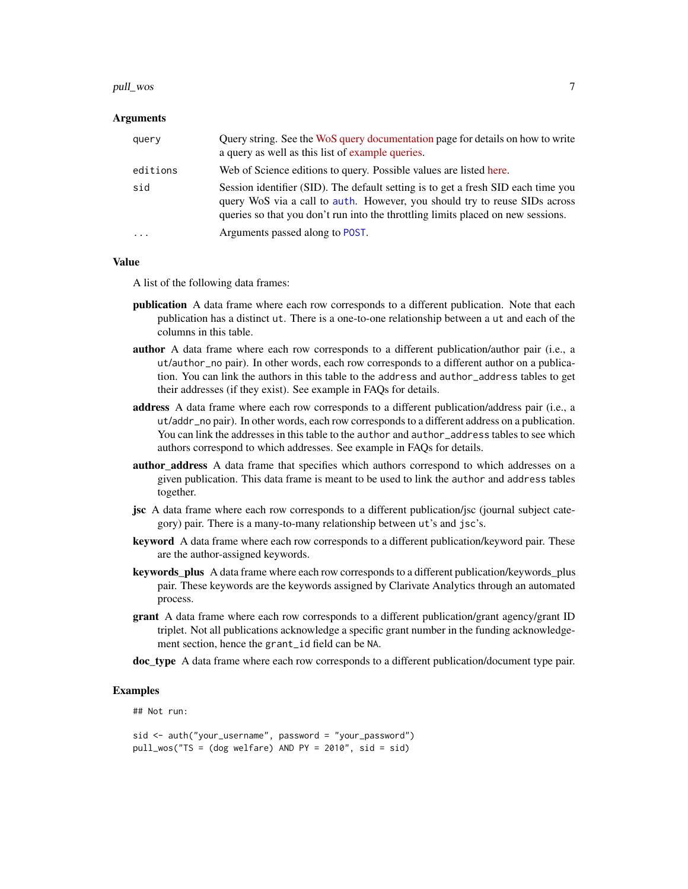#### pull\_wos 7 and 2008 and 2008 and 2008 and 2008 and 2008 and 2008 and 2008 and 2008 and 2008 and 2008 and 2008 and 2008 and 2008 and 2008 and 2008 and 2008 and 2008 and 2008 and 2008 and 2008 and 2008 and 2008 and 2008 and

#### Arguments

| query     | Query string. See the WoS query documentation page for details on how to write<br>a query as well as this list of example queries.                                                                                                                  |
|-----------|-----------------------------------------------------------------------------------------------------------------------------------------------------------------------------------------------------------------------------------------------------|
| editions  | Web of Science editions to query. Possible values are listed here.                                                                                                                                                                                  |
| sid       | Session identifier (SID). The default setting is to get a fresh SID each time you<br>query WoS via a call to auth. However, you should try to reuse SIDs across<br>queries so that you don't run into the throttling limits placed on new sessions. |
| $\ddotsc$ | Arguments passed along to POST.                                                                                                                                                                                                                     |

#### Value

A list of the following data frames:

- publication A data frame where each row corresponds to a different publication. Note that each publication has a distinct ut. There is a one-to-one relationship between a ut and each of the columns in this table.
- author A data frame where each row corresponds to a different publication/author pair (i.e., a ut/author\_no pair). In other words, each row corresponds to a different author on a publication. You can link the authors in this table to the address and author\_address tables to get their addresses (if they exist). See example in FAQs for details.
- address A data frame where each row corresponds to a different publication/address pair (i.e., a ut/addr\_no pair). In other words, each row corresponds to a different address on a publication. You can link the addresses in this table to the author and author\_address tables to see which authors correspond to which addresses. See example in FAQs for details.
- author address A data frame that specifies which authors correspond to which addresses on a given publication. This data frame is meant to be used to link the author and address tables together.
- jsc A data frame where each row corresponds to a different publication/jsc (journal subject category) pair. There is a many-to-many relationship between ut's and jsc's.
- keyword A data frame where each row corresponds to a different publication/keyword pair. These are the author-assigned keywords.
- keywords\_plus A data frame where each row corresponds to a different publication/keywords\_plus pair. These keywords are the keywords assigned by Clarivate Analytics through an automated process.
- grant A data frame where each row corresponds to a different publication/grant agency/grant ID triplet. Not all publications acknowledge a specific grant number in the funding acknowledgement section, hence the grant\_id field can be NA.
- doc\_type A data frame where each row corresponds to a different publication/document type pair.

#### Examples

## Not run:

```
sid <- auth("your_username", password = "your_password")
pull_wos("TS = (dog welfare) AND PY = 2010", sid = sid)
```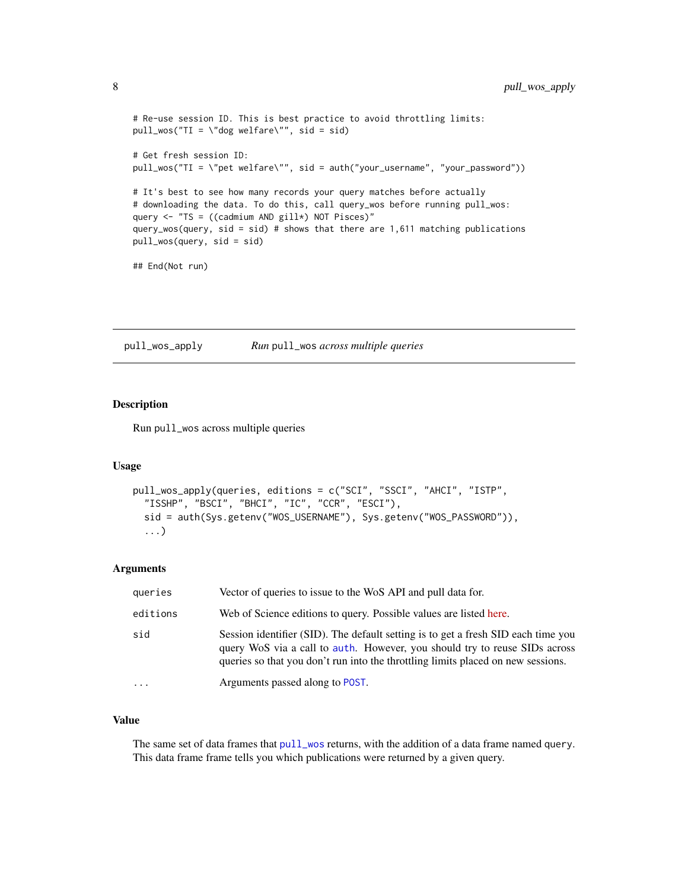```
# Re-use session ID. This is best practice to avoid throttling limits:
pull_wos("TI = \"dog welfare\"", sid = sid)
# Get fresh session ID:
pull_wos("TI = \"pet welfare\"", sid = auth("your_username", "your_password"))
# It's best to see how many records your query matches before actually
# downloading the data. To do this, call query_wos before running pull_wos:
query \leq "TS = ((cadmium AND gill*) NOT Pisces)"
query_wos(query, sid = sid) # shows that there are 1,611 matching publications
pull_wos(query, sid = sid)
## End(Not run)
```
<span id="page-7-1"></span>pull\_wos\_apply *Run* pull\_wos *across multiple queries*

# Description

Run pull\_wos across multiple queries

#### Usage

```
pull_wos_apply(queries, editions = c("SCI", "SSCI", "AHCI", "ISTP",
 "ISSHP", "BSCI", "BHCI", "IC", "CCR", "ESCI"),
  sid = auth(Sys.getenv("WOS_USERNAME"), Sys.getenv("WOS_PASSWORD")),
  ...)
```
#### Arguments

| queries  | Vector of queries to issue to the WoS API and pull data for.                                                                                                                                                                                        |
|----------|-----------------------------------------------------------------------------------------------------------------------------------------------------------------------------------------------------------------------------------------------------|
| editions | Web of Science editions to query. Possible values are listed here.                                                                                                                                                                                  |
| sid      | Session identifier (SID). The default setting is to get a fresh SID each time you<br>query WoS via a call to auth. However, you should try to reuse SIDs across<br>queries so that you don't run into the throttling limits placed on new sessions. |
| $\cdot$  | Arguments passed along to POST.                                                                                                                                                                                                                     |

# Value

The same set of data frames that [pull\\_wos](#page-5-1) returns, with the addition of a data frame named query. This data frame frame tells you which publications were returned by a given query.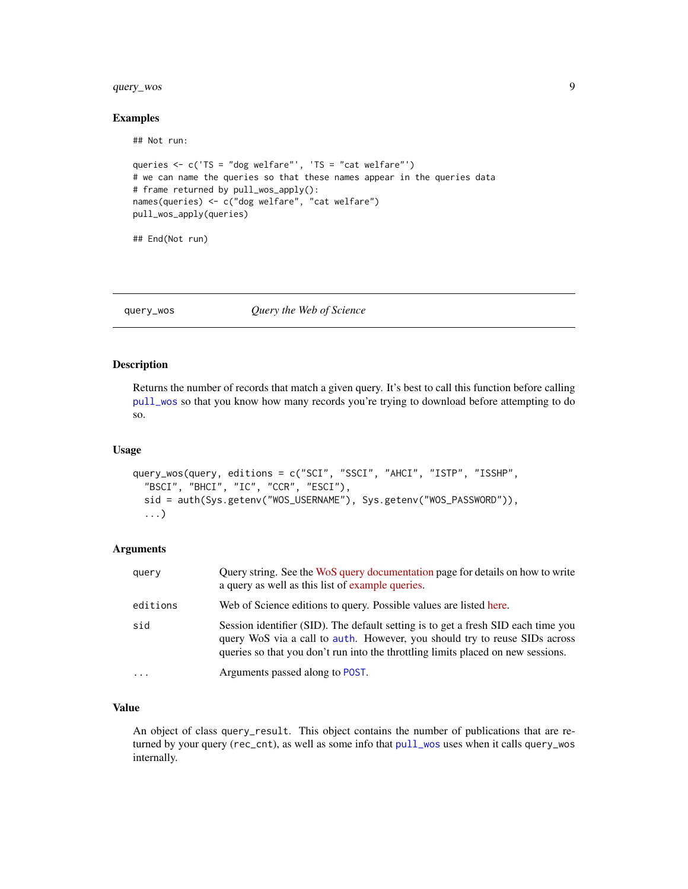# <span id="page-8-0"></span>query\_wos 9

#### Examples

## Not run:

```
queries <- c('TS = "dog welfare"', 'TS = "cat welfare"')
# we can name the queries so that these names appear in the queries data
# frame returned by pull_wos_apply():
names(queries) <- c("dog welfare", "cat welfare")
pull_wos_apply(queries)
```
## End(Not run)

#### <span id="page-8-1"></span>query\_wos *Query the Web of Science*

# Description

Returns the number of records that match a given query. It's best to call this function before calling [pull\\_wos](#page-5-1) so that you know how many records you're trying to download before attempting to do so.

#### Usage

```
query_wos(query, editions = c("SCI", "SSCI", "AHCI", "ISTP", "ISSHP",
  "BSCI", "BHCI", "IC", "CCR", "ESCI"),
  sid = auth(Sys.getenv("WOS_USERNAME"), Sys.getenv("WOS_PASSWORD")),
  ...)
```
# Arguments

| query    | Query string. See the WoS query documentation page for details on how to write<br>a query as well as this list of example queries.                                                                                                                  |
|----------|-----------------------------------------------------------------------------------------------------------------------------------------------------------------------------------------------------------------------------------------------------|
| editions | Web of Science editions to query. Possible values are listed here.                                                                                                                                                                                  |
| sid      | Session identifier (SID). The default setting is to get a fresh SID each time you<br>query WoS via a call to auth. However, you should try to reuse SIDs across<br>queries so that you don't run into the throttling limits placed on new sessions. |
| $\cdots$ | Arguments passed along to POST.                                                                                                                                                                                                                     |

#### Value

An object of class query\_result. This object contains the number of publications that are returned by your query (rec\_cnt), as well as some info that [pull\\_wos](#page-5-1) uses when it calls query\_wos internally.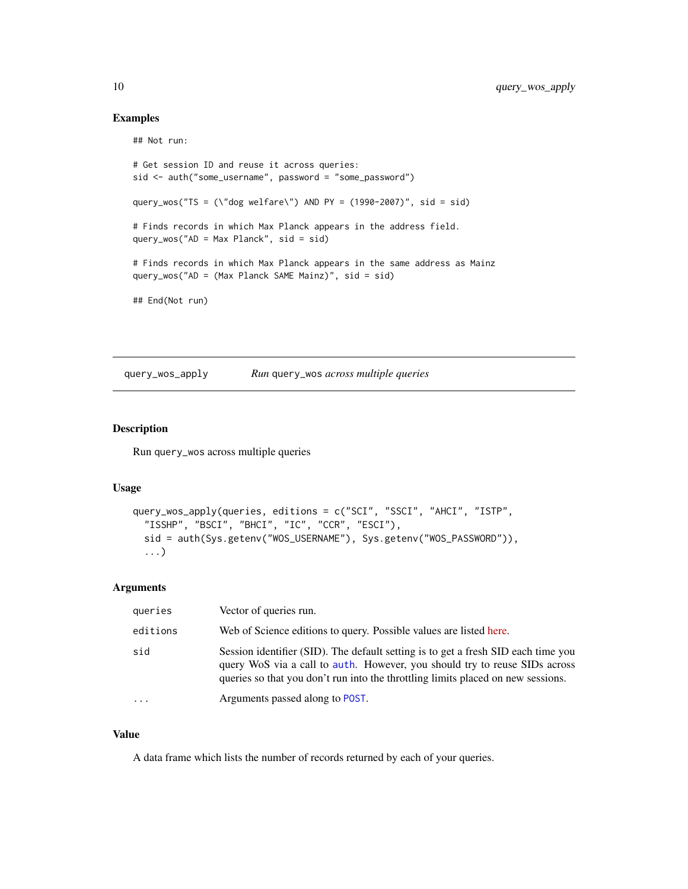# Examples

```
## Not run:
```

```
# Get session ID and reuse it across queries:
sid <- auth("some_username", password = "some_password")
query_wos("TS = (\"dog welfare\") AND PY = (1990-2007)", sid = sid)
# Finds records in which Max Planck appears in the address field.
query_wos("AD = Max Planck", sid = sid)
# Finds records in which Max Planck appears in the same address as Mainz
query_wos("AD = (Max Planck SAME Mainz)", sid = sid)
## End(Not run)
```
query\_wos\_apply *Run* query\_wos *across multiple queries*

#### Description

Run query\_wos across multiple queries

#### Usage

```
query_wos_apply(queries, editions = c("SCI", "SSCI", "AHCI", "ISTP",
 "ISSHP", "BSCI", "BHCI", "IC", "CCR", "ESCI"),
 sid = auth(Sys.getenv("WOS_USERNAME"), Sys.getenv("WOS_PASSWORD")),
  ...)
```
# Arguments

| queries   | Vector of queries run.                                                                                                                                                                                                                              |
|-----------|-----------------------------------------------------------------------------------------------------------------------------------------------------------------------------------------------------------------------------------------------------|
| editions  | Web of Science editions to query. Possible values are listed here.                                                                                                                                                                                  |
| sid       | Session identifier (SID). The default setting is to get a fresh SID each time you<br>query WoS via a call to auth. However, you should try to reuse SIDs across<br>queries so that you don't run into the throttling limits placed on new sessions. |
| $\ddotsc$ | Arguments passed along to POST.                                                                                                                                                                                                                     |

# Value

A data frame which lists the number of records returned by each of your queries.

<span id="page-9-0"></span>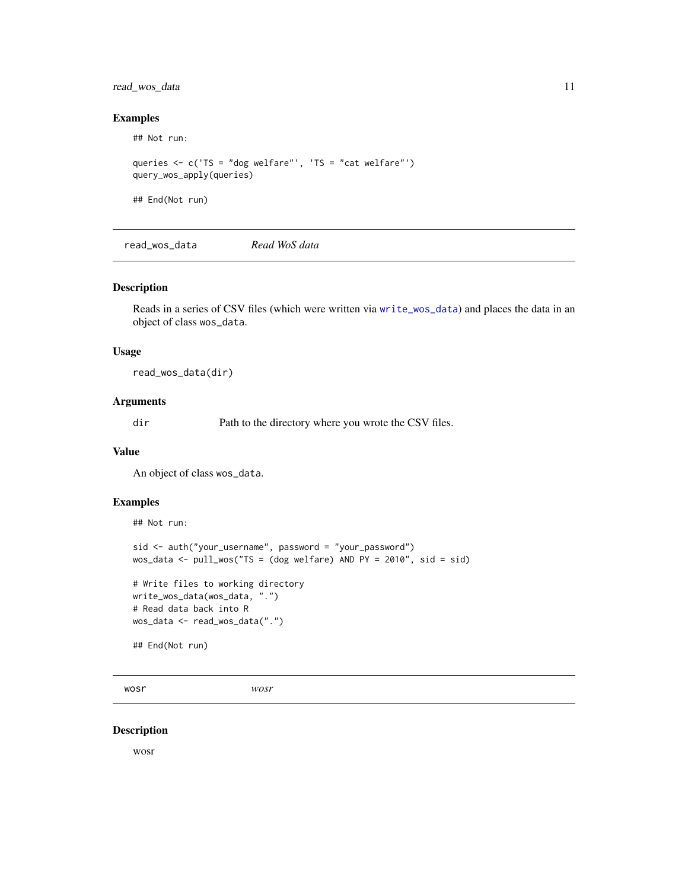# <span id="page-10-0"></span>read\_wos\_data 11

# Examples

## Not run:

```
queries <- c('TS = "dog welfare"', 'TS = "cat welfare"')
query_wos_apply(queries)
```
## End(Not run)

read\_wos\_data *Read WoS data*

#### Description

Reads in a series of CSV files (which were written via [write\\_wos\\_data](#page-11-1)) and places the data in an object of class wos\_data.

#### Usage

read\_wos\_data(dir)

# Arguments

dir Path to the directory where you wrote the CSV files.

# Value

An object of class wos\_data.

# Examples

## Not run:

```
sid <- auth("your_username", password = "your_password")
wos_data <- pull\_wos("TS = (dog welfare) AND PY = 2010", sid = sid)# Write files to working directory
write_wos_data(wos_data, ".")
# Read data back into R
wos_data <- read_wos_data(".")
## End(Not run)
```
wosr *wosr*

# Description

wosr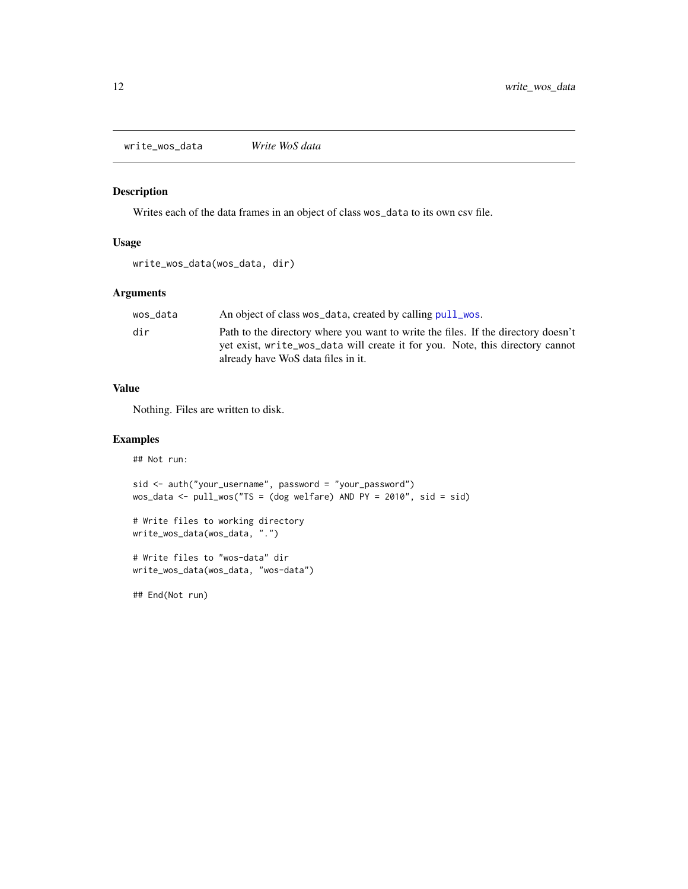<span id="page-11-1"></span><span id="page-11-0"></span>write\_wos\_data *Write WoS data*

# Description

Writes each of the data frames in an object of class wos\_data to its own csv file.

# Usage

```
write_wos_data(wos_data, dir)
```
# Arguments

| wos data | An object of class wos_data, created by calling pull_wos.                         |
|----------|-----------------------------------------------------------------------------------|
| dir      | Path to the directory where you want to write the files. If the directory doesn't |
|          | yet exist, write_wos_data will create it for you. Note, this directory cannot     |
|          | already have WoS data files in it.                                                |

# Value

Nothing. Files are written to disk.

#### Examples

## Not run:

```
sid <- auth("your_username", password = "your_password")
wos_data <- pull_wos("TS = (dog welfare) AND PY = 2010", sid = sid)
```

```
# Write files to working directory
write_wos_data(wos_data, ".")
```

```
# Write files to "wos-data" dir
write_wos_data(wos_data, "wos-data")
```
## End(Not run)